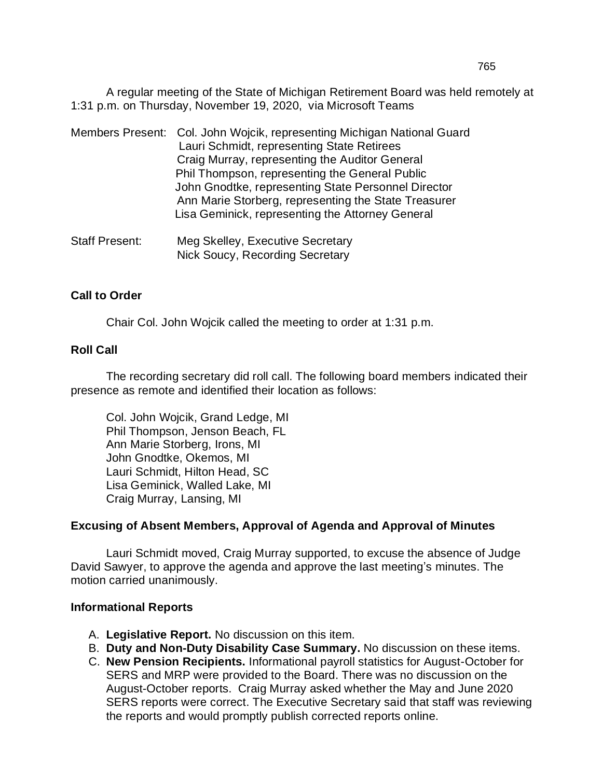A regular meeting of the State of Michigan Retirement Board was held remotely at 1:31 p.m. on Thursday, November 19, 2020, via Microsoft Teams

|                | Members Present: Col. John Wojcik, representing Michigan National Guard<br>Lauri Schmidt, representing State Retirees<br>Craig Murray, representing the Auditor General<br>Phil Thompson, representing the General Public<br>John Gnodtke, representing State Personnel Director<br>Ann Marie Storberg, representing the State Treasurer<br>Lisa Geminick, representing the Attorney General |
|----------------|----------------------------------------------------------------------------------------------------------------------------------------------------------------------------------------------------------------------------------------------------------------------------------------------------------------------------------------------------------------------------------------------|
| Staff Present: | Med Skelley, Executive Secretary                                                                                                                                                                                                                                                                                                                                                             |

Staff Present: Meg Skelley, Executive Secretary Nick Soucy, Recording Secretary

## **Call to Order**

Chair Col. John Wojcik called the meeting to order at 1:31 p.m.

## **Roll Call**

The recording secretary did roll call. The following board members indicated their presence as remote and identified their location as follows:

Col. John Wojcik, Grand Ledge, MI Phil Thompson, Jenson Beach, FL Ann Marie Storberg, Irons, MI John Gnodtke, Okemos, MI Lauri Schmidt, Hilton Head, SC Lisa Geminick, Walled Lake, MI Craig Murray, Lansing, MI

## **Excusing of Absent Members, Approval of Agenda and Approval of Minutes**

Lauri Schmidt moved, Craig Murray supported, to excuse the absence of Judge David Sawyer, to approve the agenda and approve the last meeting's minutes. The motion carried unanimously.

#### **Informational Reports**

- A. **Legislative Report.** No discussion on this item.
- B. **Duty and Non-Duty Disability Case Summary.** No discussion on these items.
- C. **New Pension Recipients.** Informational payroll statistics for August-October for SERS and MRP were provided to the Board. There was no discussion on the August-October reports. Craig Murray asked whether the May and June 2020 SERS reports were correct. The Executive Secretary said that staff was reviewing the reports and would promptly publish corrected reports online.